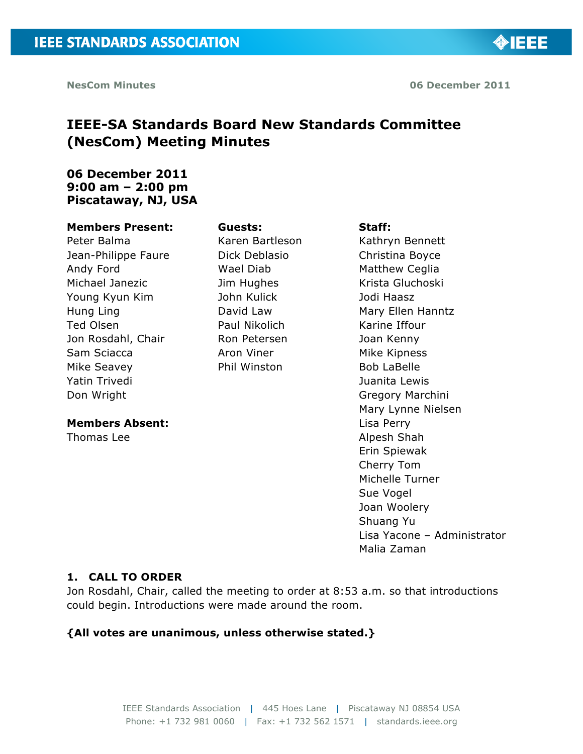**OBJEE** 

# **IEEE-SA Standards Board New Standards Committee (NesCom) Meeting Minutes**

### **06 December 2011 9:00 am – 2:00 pm Piscataway, NJ, USA**

#### **Members Present:**

Peter Balma Jean-Philippe Faure Andy Ford Michael Janezic Young Kyun Kim Hung Ling Ted Olsen Jon Rosdahl, Chair Sam Sciacca Mike Seavey Yatin Trivedi Don Wright

#### **Members Absent:**

Thomas Lee

#### **Guests:**

Karen Bartleson Dick Deblasio Wael Diab Jim Hughes John Kulick David Law Paul Nikolich Ron Petersen Aron Viner Phil Winston

#### **Staff:**

Kathryn Bennett Christina Boyce Matthew Ceglia Krista Gluchoski Jodi Haasz Mary Ellen Hanntz Karine Iffour Joan Kenny Mike Kipness Bob LaBelle Juanita Lewis Gregory Marchini Mary Lynne Nielsen Lisa Perry Alpesh Shah Erin Spiewak Cherry Tom Michelle Turner Sue Vogel Joan Woolery Shuang Yu Lisa Yacone – Administrator Malia Zaman

#### **1. CALL TO ORDER**

Jon Rosdahl, Chair, called the meeting to order at 8:53 a.m. so that introductions could begin. Introductions were made around the room.

#### **{All votes are unanimous, unless otherwise stated.}**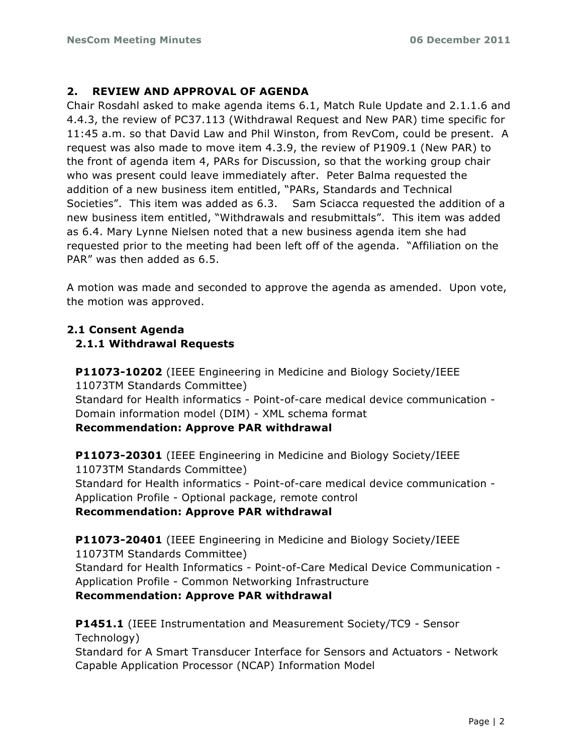### **2. REVIEW AND APPROVAL OF AGENDA**

Chair Rosdahl asked to make agenda items 6.1, Match Rule Update and 2.1.1.6 and 4.4.3, the review of PC37.113 (Withdrawal Request and New PAR) time specific for 11:45 a.m. so that David Law and Phil Winston, from RevCom, could be present. A request was also made to move item 4.3.9, the review of P1909.1 (New PAR) to the front of agenda item 4, PARs for Discussion, so that the working group chair who was present could leave immediately after. Peter Balma requested the addition of a new business item entitled, "PARs, Standards and Technical Societies". This item was added as 6.3. Sam Sciacca requested the addition of a new business item entitled, "Withdrawals and resubmittals". This item was added as 6.4. Mary Lynne Nielsen noted that a new business agenda item she had requested prior to the meeting had been left off of the agenda. "Affiliation on the PAR" was then added as 6.5.

A motion was made and seconded to approve the agenda as amended. Upon vote, the motion was approved.

## **2.1 Consent Agenda 2.1.1 Withdrawal Requests**

**P11073-10202** (IEEE Engineering in Medicine and Biology Society/IEEE 11073TM Standards Committee) Standard for Health informatics - Point-of-care medical device communication - Domain information model (DIM) - XML schema format **Recommendation: Approve PAR withdrawal**

**P11073-20301** (IEEE Engineering in Medicine and Biology Society/IEEE 11073TM Standards Committee) Standard for Health informatics - Point-of-care medical device communication - Application Profile - Optional package, remote control **Recommendation: Approve PAR withdrawal**

**P11073-20401** (IEEE Engineering in Medicine and Biology Society/IEEE 11073TM Standards Committee) Standard for Health Informatics - Point-of-Care Medical Device Communication - Application Profile - Common Networking Infrastructure **Recommendation: Approve PAR withdrawal**

**P1451.1** (IEEE Instrumentation and Measurement Society/TC9 - Sensor Technology)

Standard for A Smart Transducer Interface for Sensors and Actuators - Network Capable Application Processor (NCAP) Information Model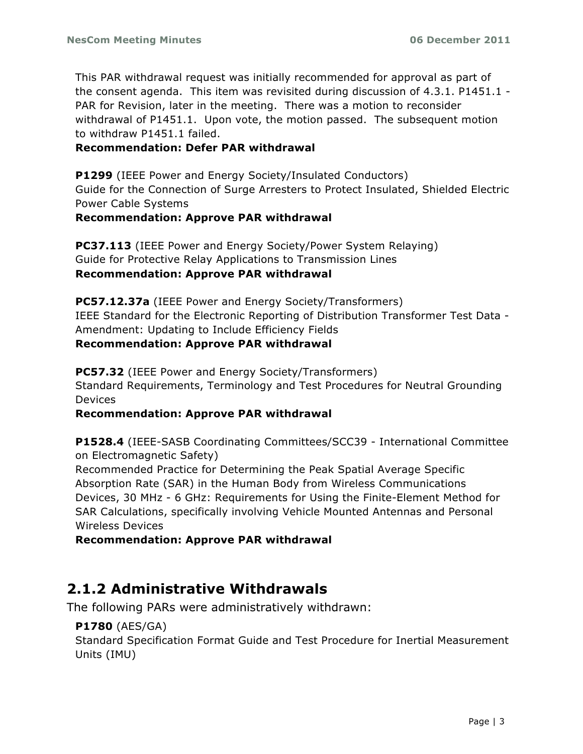This PAR withdrawal request was initially recommended for approval as part of the consent agenda. This item was revisited during discussion of 4.3.1. P1451.1 - PAR for Revision, later in the meeting. There was a motion to reconsider withdrawal of P1451.1. Upon vote, the motion passed. The subsequent motion to withdraw P1451.1 failed.

#### **Recommendation: Defer PAR withdrawal**

**P1299** (IEEE Power and Energy Society/Insulated Conductors) Guide for the Connection of Surge Arresters to Protect Insulated, Shielded Electric Power Cable Systems

#### **Recommendation: Approve PAR withdrawal**

**PC37.113** (IEEE Power and Energy Society/Power System Relaying) Guide for Protective Relay Applications to Transmission Lines **Recommendation: Approve PAR withdrawal**

**PC57.12.37a** (IEEE Power and Energy Society/Transformers) IEEE Standard for the Electronic Reporting of Distribution Transformer Test Data - Amendment: Updating to Include Efficiency Fields

#### **Recommendation: Approve PAR withdrawal**

**PC57.32** (IEEE Power and Energy Society/Transformers) Standard Requirements, Terminology and Test Procedures for Neutral Grounding Devices

#### **Recommendation: Approve PAR withdrawal**

**P1528.4** (IEEE-SASB Coordinating Committees/SCC39 - International Committee on Electromagnetic Safety)

Recommended Practice for Determining the Peak Spatial Average Specific Absorption Rate (SAR) in the Human Body from Wireless Communications Devices, 30 MHz - 6 GHz: Requirements for Using the Finite-Element Method for SAR Calculations, specifically involving Vehicle Mounted Antennas and Personal Wireless Devices

**Recommendation: Approve PAR withdrawal**

# **2.1.2 Administrative Withdrawals**

The following PARs were administratively withdrawn:

### **P1780** (AES/GA)

Standard Specification Format Guide and Test Procedure for Inertial Measurement Units (IMU)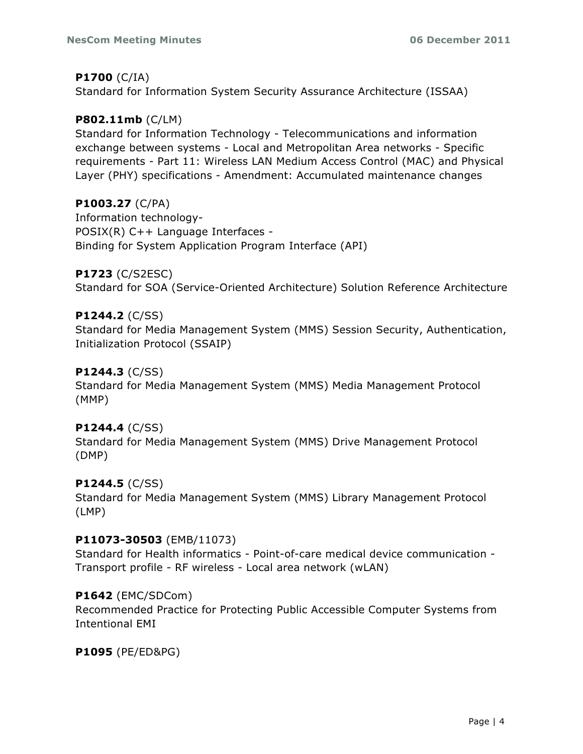#### **P1700** (C/IA)

Standard for Information System Security Assurance Architecture (ISSAA)

### **P802.11mb** (C/LM)

Standard for Information Technology - Telecommunications and information exchange between systems - Local and Metropolitan Area networks - Specific requirements - Part 11: Wireless LAN Medium Access Control (MAC) and Physical Layer (PHY) specifications - Amendment: Accumulated maintenance changes

### **P1003.27** (C/PA)

Information technology-POSIX(R) C++ Language Interfaces - Binding for System Application Program Interface (API)

### **P1723** (C/S2ESC)

Standard for SOA (Service-Oriented Architecture) Solution Reference Architecture

#### **P1244.2** (C/SS)

Standard for Media Management System (MMS) Session Security, Authentication, Initialization Protocol (SSAIP)

#### **P1244.3** (C/SS)

Standard for Media Management System (MMS) Media Management Protocol (MMP)

#### **P1244.4** (C/SS)

Standard for Media Management System (MMS) Drive Management Protocol (DMP)

### **P1244.5** (C/SS)

Standard for Media Management System (MMS) Library Management Protocol (LMP)

#### **P11073-30503** (EMB/11073)

Standard for Health informatics - Point-of-care medical device communication - Transport profile - RF wireless - Local area network (wLAN)

#### **P1642** (EMC/SDCom)

Recommended Practice for Protecting Public Accessible Computer Systems from Intentional EMI

### **P1095** (PE/ED&PG)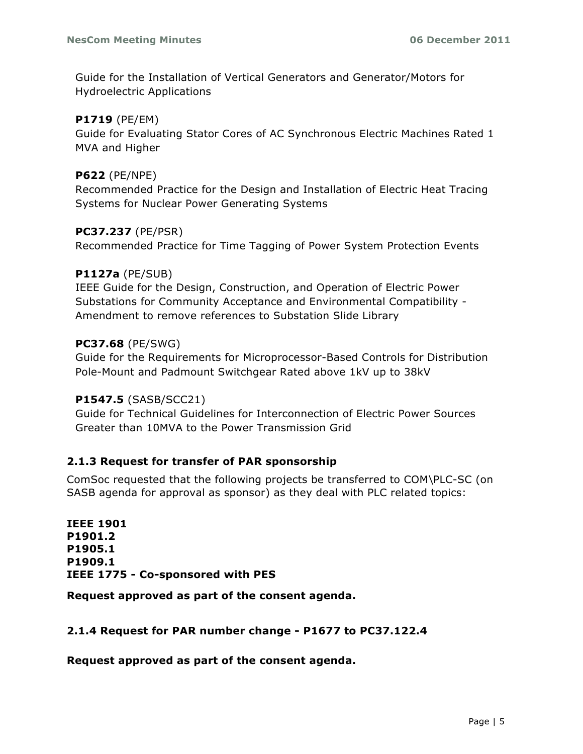Guide for the Installation of Vertical Generators and Generator/Motors for Hydroelectric Applications

#### **P1719** (PE/EM)

Guide for Evaluating Stator Cores of AC Synchronous Electric Machines Rated 1 MVA and Higher

#### **P622** (PE/NPE)

Recommended Practice for the Design and Installation of Electric Heat Tracing Systems for Nuclear Power Generating Systems

#### **PC37.237** (PE/PSR)

Recommended Practice for Time Tagging of Power System Protection Events

#### **P1127a** (PE/SUB)

IEEE Guide for the Design, Construction, and Operation of Electric Power Substations for Community Acceptance and Environmental Compatibility - Amendment to remove references to Substation Slide Library

#### **PC37.68** (PE/SWG)

Guide for the Requirements for Microprocessor-Based Controls for Distribution Pole-Mount and Padmount Switchgear Rated above 1kV up to 38kV

#### **P1547.5** (SASB/SCC21)

Guide for Technical Guidelines for Interconnection of Electric Power Sources Greater than 10MVA to the Power Transmission Grid

#### **2.1.3 Request for transfer of PAR sponsorship**

ComSoc requested that the following projects be transferred to COM\PLC-SC (on SASB agenda for approval as sponsor) as they deal with PLC related topics:

**IEEE 1901 P1901.2 P1905.1 P1909.1 IEEE 1775 - Co-sponsored with PES**

**Request approved as part of the consent agenda.**

#### **2.1.4 Request for PAR number change - P1677 to PC37.122.4**

**Request approved as part of the consent agenda.**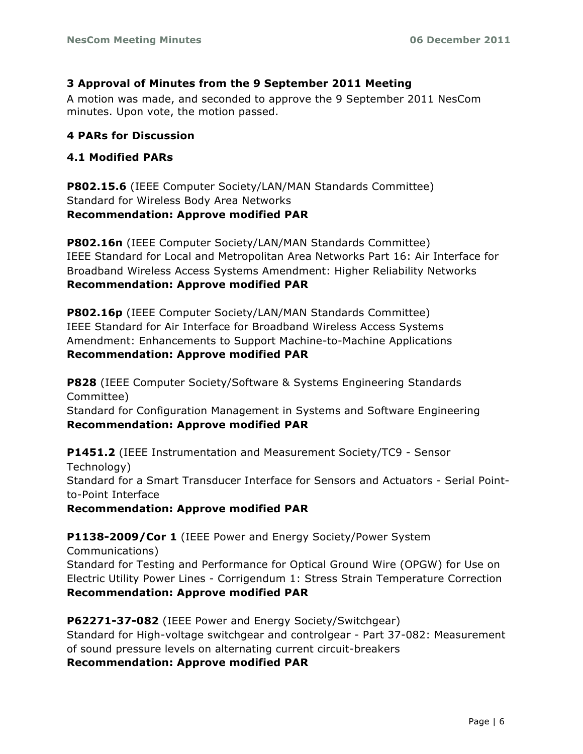#### **3 Approval of Minutes from the 9 September 2011 Meeting**

A motion was made, and seconded to approve the 9 September 2011 NesCom minutes. Upon vote, the motion passed.

#### **4 PARs for Discussion**

### **4.1 Modified PARs**

**P802.15.6** (IEEE Computer Society/LAN/MAN Standards Committee) Standard for Wireless Body Area Networks **Recommendation: Approve modified PAR** 

**P802.16n** (IEEE Computer Society/LAN/MAN Standards Committee) IEEE Standard for Local and Metropolitan Area Networks Part 16: Air Interface for Broadband Wireless Access Systems Amendment: Higher Reliability Networks **Recommendation: Approve modified PAR** 

**P802.16p** (IEEE Computer Society/LAN/MAN Standards Committee) IEEE Standard for Air Interface for Broadband Wireless Access Systems Amendment: Enhancements to Support Machine-to-Machine Applications **Recommendation: Approve modified PAR** 

**P828** (IEEE Computer Society/Software & Systems Engineering Standards Committee) Standard for Configuration Management in Systems and Software Engineering **Recommendation: Approve modified PAR**

**P1451.2** (IEEE Instrumentation and Measurement Society/TC9 - Sensor Technology) Standard for a Smart Transducer Interface for Sensors and Actuators - Serial Pointto-Point Interface

**Recommendation: Approve modified PAR** 

## **P1138-2009/Cor 1** (IEEE Power and Energy Society/Power System

Communications) Standard for Testing and Performance for Optical Ground Wire (OPGW) for Use on Electric Utility Power Lines - Corrigendum 1: Stress Strain Temperature Correction **Recommendation: Approve modified PAR** 

**P62271-37-082** (IEEE Power and Energy Society/Switchgear) Standard for High-voltage switchgear and controlgear - Part 37-082: Measurement of sound pressure levels on alternating current circuit-breakers **Recommendation: Approve modified PAR**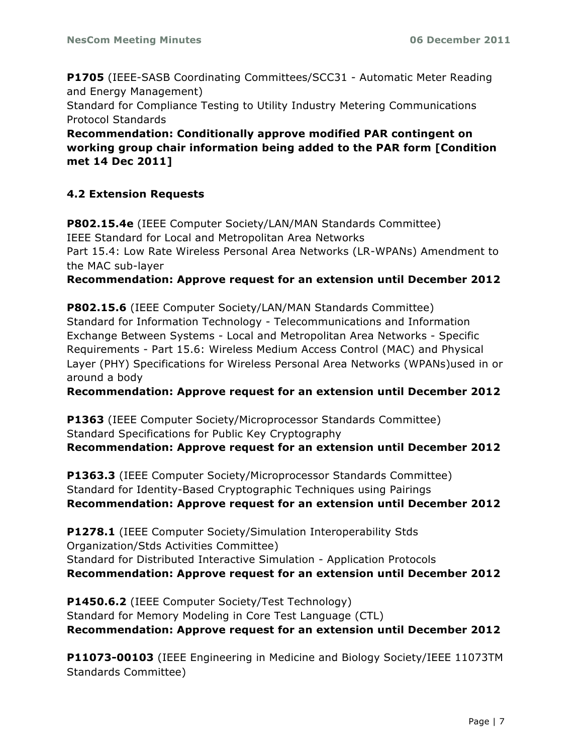**P1705** (IEEE-SASB Coordinating Committees/SCC31 - Automatic Meter Reading and Energy Management) Standard for Compliance Testing to Utility Industry Metering Communications Protocol Standards

**Recommendation: Conditionally approve modified PAR contingent on working group chair information being added to the PAR form [Condition met 14 Dec 2011]**

### **4.2 Extension Requests**

**P802.15.4e** (IEEE Computer Society/LAN/MAN Standards Committee) IEEE Standard for Local and Metropolitan Area Networks Part 15.4: Low Rate Wireless Personal Area Networks (LR-WPANs) Amendment to the MAC sub-layer

**Recommendation: Approve request for an extension until December 2012** 

**P802.15.6** (IEEE Computer Society/LAN/MAN Standards Committee) Standard for Information Technology - Telecommunications and Information Exchange Between Systems - Local and Metropolitan Area Networks - Specific Requirements - Part 15.6: Wireless Medium Access Control (MAC) and Physical Layer (PHY) Specifications for Wireless Personal Area Networks (WPANs)used in or around a body

**Recommendation: Approve request for an extension until December 2012** 

**P1363** (IEEE Computer Society/Microprocessor Standards Committee) Standard Specifications for Public Key Cryptography **Recommendation: Approve request for an extension until December 2012**

**P1363.3** (IEEE Computer Society/Microprocessor Standards Committee) Standard for Identity-Based Cryptographic Techniques using Pairings **Recommendation: Approve request for an extension until December 2012** 

**P1278.1** (IEEE Computer Society/Simulation Interoperability Stds Organization/Stds Activities Committee) Standard for Distributed Interactive Simulation - Application Protocols **Recommendation: Approve request for an extension until December 2012**

**P1450.6.2** (IEEE Computer Society/Test Technology) Standard for Memory Modeling in Core Test Language (CTL) **Recommendation: Approve request for an extension until December 2012** 

**P11073-00103** (IEEE Engineering in Medicine and Biology Society/IEEE 11073TM Standards Committee)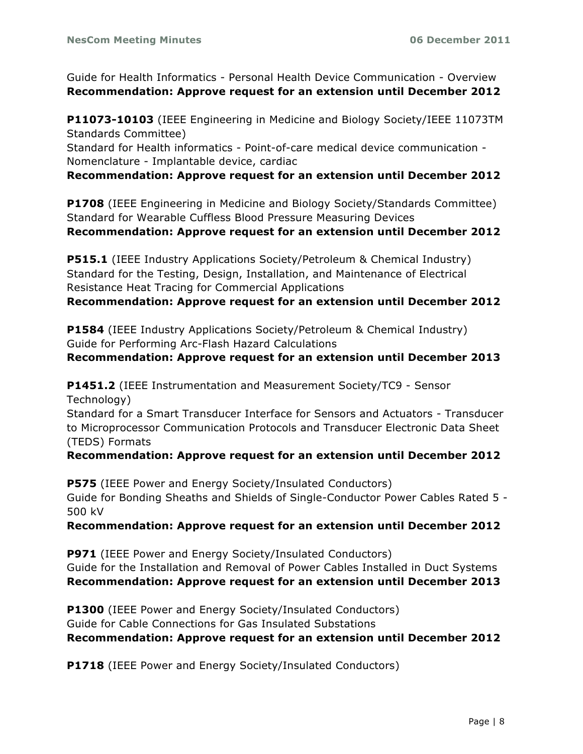Guide for Health Informatics - Personal Health Device Communication - Overview **Recommendation: Approve request for an extension until December 2012** 

**P11073-10103** (IEEE Engineering in Medicine and Biology Society/IEEE 11073TM Standards Committee)

Standard for Health informatics - Point-of-care medical device communication - Nomenclature - Implantable device, cardiac

#### **Recommendation: Approve request for an extension until December 2012**

**P1708** (IEEE Engineering in Medicine and Biology Society/Standards Committee) Standard for Wearable Cuffless Blood Pressure Measuring Devices

**Recommendation: Approve request for an extension until December 2012** 

**P515.1** (IEEE Industry Applications Society/Petroleum & Chemical Industry) Standard for the Testing, Design, Installation, and Maintenance of Electrical Resistance Heat Tracing for Commercial Applications

**Recommendation: Approve request for an extension until December 2012** 

**P1584** (IEEE Industry Applications Society/Petroleum & Chemical Industry) Guide for Performing Arc-Flash Hazard Calculations

#### **Recommendation: Approve request for an extension until December 2013**

**P1451.2** (IEEE Instrumentation and Measurement Society/TC9 - Sensor Technology)

Standard for a Smart Transducer Interface for Sensors and Actuators - Transducer to Microprocessor Communication Protocols and Transducer Electronic Data Sheet (TEDS) Formats

### **Recommendation: Approve request for an extension until December 2012**

**P575** (IEEE Power and Energy Society/Insulated Conductors) Guide for Bonding Sheaths and Shields of Single-Conductor Power Cables Rated 5 - 500 kV

### **Recommendation: Approve request for an extension until December 2012**

**P971** (IEEE Power and Energy Society/Insulated Conductors) Guide for the Installation and Removal of Power Cables Installed in Duct Systems **Recommendation: Approve request for an extension until December 2013** 

**P1300** (IEEE Power and Energy Society/Insulated Conductors) Guide for Cable Connections for Gas Insulated Substations **Recommendation: Approve request for an extension until December 2012** 

**P1718** (IEEE Power and Energy Society/Insulated Conductors)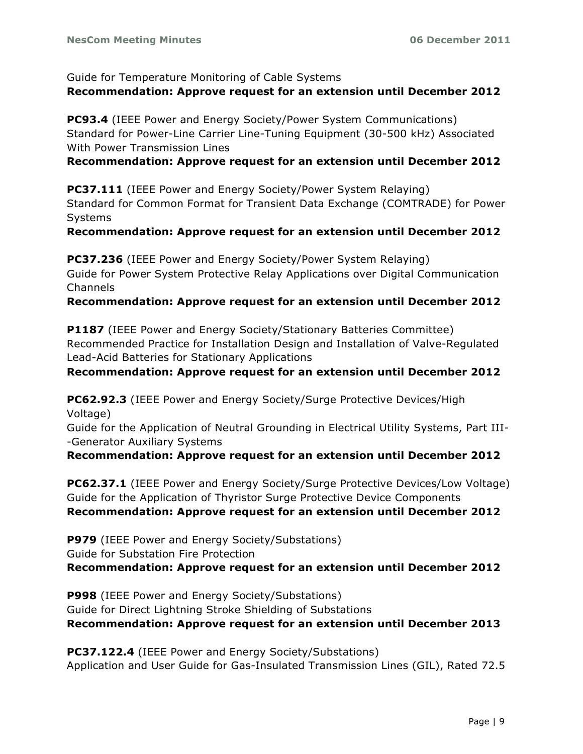Guide for Temperature Monitoring of Cable Systems

#### **Recommendation: Approve request for an extension until December 2012**

**PC93.4** (IEEE Power and Energy Society/Power System Communications) Standard for Power-Line Carrier Line-Tuning Equipment (30-500 kHz) Associated With Power Transmission Lines

#### **Recommendation: Approve request for an extension until December 2012**

**PC37.111** (IEEE Power and Energy Society/Power System Relaying) Standard for Common Format for Transient Data Exchange (COMTRADE) for Power Systems

# **Recommendation: Approve request for an extension until December 2012**

**PC37.236** (IEEE Power and Energy Society/Power System Relaying) Guide for Power System Protective Relay Applications over Digital Communication Channels

### **Recommendation: Approve request for an extension until December 2012**

**P1187** (IEEE Power and Energy Society/Stationary Batteries Committee) Recommended Practice for Installation Design and Installation of Valve-Regulated Lead-Acid Batteries for Stationary Applications

### **Recommendation: Approve request for an extension until December 2012**

**PC62.92.3** (IEEE Power and Energy Society/Surge Protective Devices/High Voltage)

Guide for the Application of Neutral Grounding in Electrical Utility Systems, Part III- -Generator Auxiliary Systems

**Recommendation: Approve request for an extension until December 2012**

**PC62.37.1** (IEEE Power and Energy Society/Surge Protective Devices/Low Voltage) Guide for the Application of Thyristor Surge Protective Device Components **Recommendation: Approve request for an extension until December 2012** 

**P979** (IEEE Power and Energy Society/Substations) Guide for Substation Fire Protection **Recommendation: Approve request for an extension until December 2012** 

**P998** (IEEE Power and Energy Society/Substations) Guide for Direct Lightning Stroke Shielding of Substations **Recommendation: Approve request for an extension until December 2013**

**PC37.122.4** (IEEE Power and Energy Society/Substations) Application and User Guide for Gas-Insulated Transmission Lines (GIL), Rated 72.5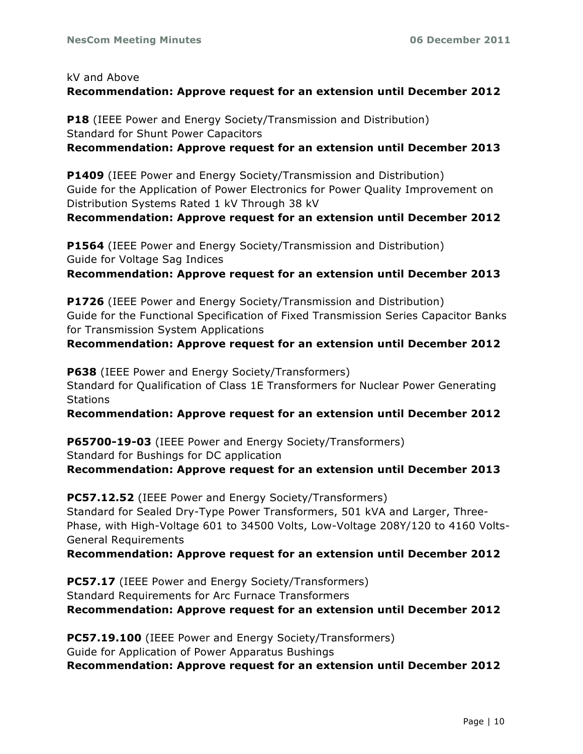#### kV and Above

## **Recommendation: Approve request for an extension until December 2012**

**P18** (IEEE Power and Energy Society/Transmission and Distribution) Standard for Shunt Power Capacitors **Recommendation: Approve request for an extension until December 2013** 

**P1409** (IEEE Power and Energy Society/Transmission and Distribution) Guide for the Application of Power Electronics for Power Quality Improvement on Distribution Systems Rated 1 kV Through 38 kV

**Recommendation: Approve request for an extension until December 2012** 

**P1564** (IEEE Power and Energy Society/Transmission and Distribution) Guide for Voltage Sag Indices

**Recommendation: Approve request for an extension until December 2013** 

**P1726** (IEEE Power and Energy Society/Transmission and Distribution) Guide for the Functional Specification of Fixed Transmission Series Capacitor Banks for Transmission System Applications

**Recommendation: Approve request for an extension until December 2012** 

**P638** (IEEE Power and Energy Society/Transformers) Standard for Qualification of Class 1E Transformers for Nuclear Power Generating **Stations** 

**Recommendation: Approve request for an extension until December 2012**

**P65700-19-03** (IEEE Power and Energy Society/Transformers) Standard for Bushings for DC application

**Recommendation: Approve request for an extension until December 2013** 

**PC57.12.52** (IEEE Power and Energy Society/Transformers) Standard for Sealed Dry-Type Power Transformers, 501 kVA and Larger, Three-Phase, with High-Voltage 601 to 34500 Volts, Low-Voltage 208Y/120 to 4160 Volts-General Requirements

#### **Recommendation: Approve request for an extension until December 2012**

**PC57.17** (IEEE Power and Energy Society/Transformers) Standard Requirements for Arc Furnace Transformers **Recommendation: Approve request for an extension until December 2012**

**PC57.19.100** (IEEE Power and Energy Society/Transformers) Guide for Application of Power Apparatus Bushings **Recommendation: Approve request for an extension until December 2012**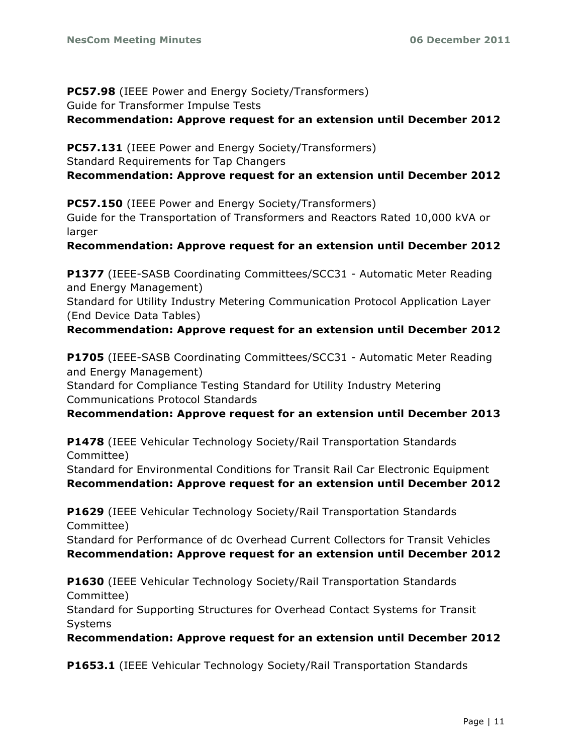# **PC57.98** (IEEE Power and Energy Society/Transformers) Guide for Transformer Impulse Tests

#### **Recommendation: Approve request for an extension until December 2012**

**PC57.131** (IEEE Power and Energy Society/Transformers) Standard Requirements for Tap Changers **Recommendation: Approve request for an extension until December 2012** 

**PC57.150** (IEEE Power and Energy Society/Transformers) Guide for the Transportation of Transformers and Reactors Rated 10,000 kVA or larger

#### **Recommendation: Approve request for an extension until December 2012**

**P1377** (IEEE-SASB Coordinating Committees/SCC31 - Automatic Meter Reading and Energy Management)

Standard for Utility Industry Metering Communication Protocol Application Layer (End Device Data Tables)

#### **Recommendation: Approve request for an extension until December 2012**

**P1705** (IEEE-SASB Coordinating Committees/SCC31 - Automatic Meter Reading and Energy Management)

Standard for Compliance Testing Standard for Utility Industry Metering Communications Protocol Standards

#### **Recommendation: Approve request for an extension until December 2013**

**P1478** (IEEE Vehicular Technology Society/Rail Transportation Standards Committee)

Standard for Environmental Conditions for Transit Rail Car Electronic Equipment **Recommendation: Approve request for an extension until December 2012** 

**P1629** (IEEE Vehicular Technology Society/Rail Transportation Standards Committee)

Standard for Performance of dc Overhead Current Collectors for Transit Vehicles **Recommendation: Approve request for an extension until December 2012**

**P1630** (IEEE Vehicular Technology Society/Rail Transportation Standards Committee)

Standard for Supporting Structures for Overhead Contact Systems for Transit Systems

**Recommendation: Approve request for an extension until December 2012**

**P1653.1** (IEEE Vehicular Technology Society/Rail Transportation Standards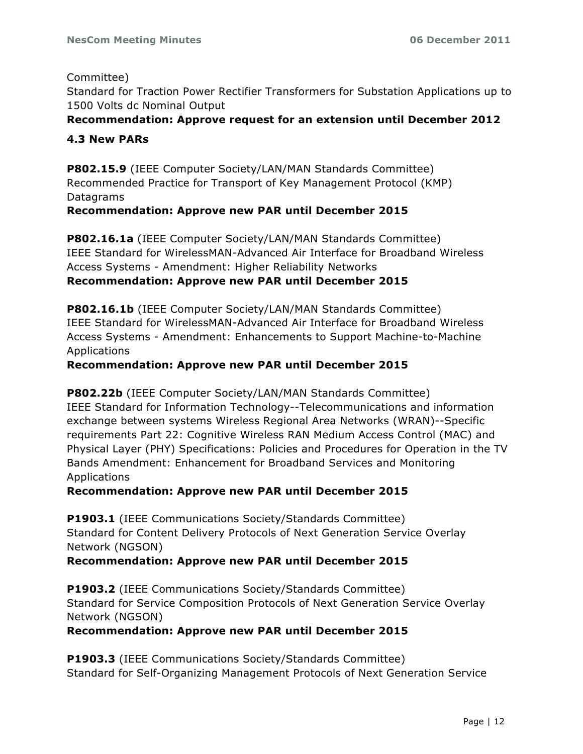#### Committee)

Standard for Traction Power Rectifier Transformers for Substation Applications up to 1500 Volts dc Nominal Output

### **Recommendation: Approve request for an extension until December 2012**

#### **4.3 New PARs**

**P802.15.9** (IEEE Computer Society/LAN/MAN Standards Committee) Recommended Practice for Transport of Key Management Protocol (KMP) Datagrams

#### **Recommendation: Approve new PAR until December 2015**

**P802.16.1a** (IEEE Computer Society/LAN/MAN Standards Committee) IEEE Standard for WirelessMAN-Advanced Air Interface for Broadband Wireless Access Systems - Amendment: Higher Reliability Networks

#### **Recommendation: Approve new PAR until December 2015**

**P802.16.1b** (IEEE Computer Society/LAN/MAN Standards Committee) IEEE Standard for WirelessMAN-Advanced Air Interface for Broadband Wireless Access Systems - Amendment: Enhancements to Support Machine-to-Machine Applications

#### **Recommendation: Approve new PAR until December 2015**

**P802.22b** (IEEE Computer Society/LAN/MAN Standards Committee) IEEE Standard for Information Technology--Telecommunications and information exchange between systems Wireless Regional Area Networks (WRAN)--Specific requirements Part 22: Cognitive Wireless RAN Medium Access Control (MAC) and Physical Layer (PHY) Specifications: Policies and Procedures for Operation in the TV Bands Amendment: Enhancement for Broadband Services and Monitoring Applications

#### **Recommendation: Approve new PAR until December 2015**

**P1903.1** (IEEE Communications Society/Standards Committee) Standard for Content Delivery Protocols of Next Generation Service Overlay Network (NGSON)

### **Recommendation: Approve new PAR until December 2015**

**P1903.2** (IEEE Communications Society/Standards Committee) Standard for Service Composition Protocols of Next Generation Service Overlay Network (NGSON)

### **Recommendation: Approve new PAR until December 2015**

**P1903.3** (IEEE Communications Society/Standards Committee) Standard for Self-Organizing Management Protocols of Next Generation Service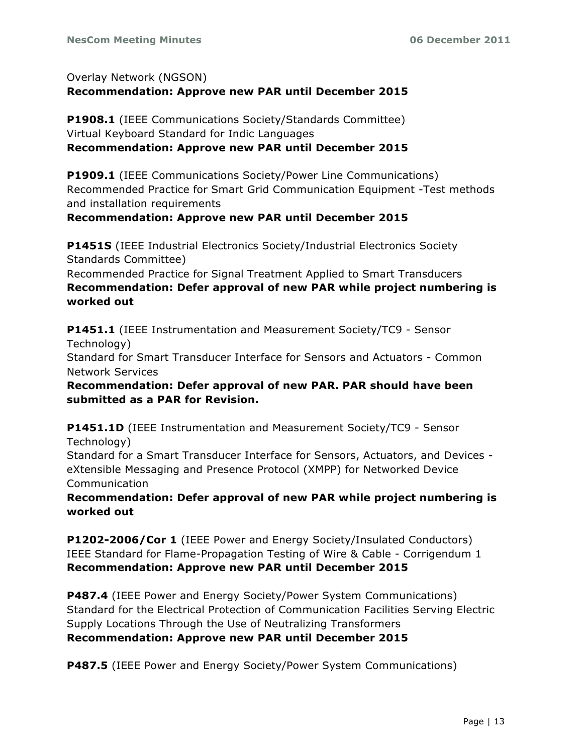Overlay Network (NGSON) **Recommendation: Approve new PAR until December 2015** 

**P1908.1** (IEEE Communications Society/Standards Committee) Virtual Keyboard Standard for Indic Languages **Recommendation: Approve new PAR until December 2015** 

**P1909.1** (IEEE Communications Society/Power Line Communications) Recommended Practice for Smart Grid Communication Equipment -Test methods and installation requirements

### **Recommendation: Approve new PAR until December 2015**

**P1451S** (IEEE Industrial Electronics Society/Industrial Electronics Society Standards Committee)

Recommended Practice for Signal Treatment Applied to Smart Transducers **Recommendation: Defer approval of new PAR while project numbering is worked out**

**P1451.1** (IEEE Instrumentation and Measurement Society/TC9 - Sensor Technology) Standard for Smart Transducer Interface for Sensors and Actuators - Common Network Services

**Recommendation: Defer approval of new PAR. PAR should have been submitted as a PAR for Revision.**

**P1451.1D** (IEEE Instrumentation and Measurement Society/TC9 - Sensor Technology)

Standard for a Smart Transducer Interface for Sensors, Actuators, and Devices eXtensible Messaging and Presence Protocol (XMPP) for Networked Device Communication

**Recommendation: Defer approval of new PAR while project numbering is worked out** 

**P1202-2006/Cor 1** (IEEE Power and Energy Society/Insulated Conductors) IEEE Standard for Flame-Propagation Testing of Wire & Cable - Corrigendum 1 **Recommendation: Approve new PAR until December 2015** 

**P487.4** (IEEE Power and Energy Society/Power System Communications) Standard for the Electrical Protection of Communication Facilities Serving Electric Supply Locations Through the Use of Neutralizing Transformers **Recommendation: Approve new PAR until December 2015**

**P487.5** (IEEE Power and Energy Society/Power System Communications)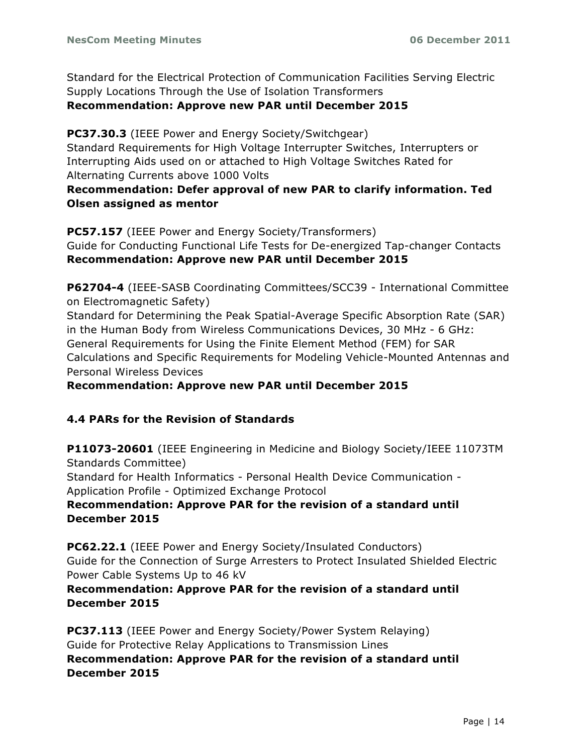Standard for the Electrical Protection of Communication Facilities Serving Electric Supply Locations Through the Use of Isolation Transformers **Recommendation: Approve new PAR until December 2015** 

**PC37.30.3** (IEEE Power and Energy Society/Switchgear) Standard Requirements for High Voltage Interrupter Switches, Interrupters or Interrupting Aids used on or attached to High Voltage Switches Rated for

Alternating Currents above 1000 Volts

**Recommendation: Defer approval of new PAR to clarify information. Ted Olsen assigned as mentor**

**PC57.157** (IEEE Power and Energy Society/Transformers) Guide for Conducting Functional Life Tests for De-energized Tap-changer Contacts **Recommendation: Approve new PAR until December 2015** 

**P62704-4** (IEEE-SASB Coordinating Committees/SCC39 - International Committee on Electromagnetic Safety)

Standard for Determining the Peak Spatial-Average Specific Absorption Rate (SAR) in the Human Body from Wireless Communications Devices, 30 MHz - 6 GHz: General Requirements for Using the Finite Element Method (FEM) for SAR Calculations and Specific Requirements for Modeling Vehicle-Mounted Antennas and Personal Wireless Devices

**Recommendation: Approve new PAR until December 2015** 

### **4.4 PARs for the Revision of Standards**

**P11073-20601** (IEEE Engineering in Medicine and Biology Society/IEEE 11073TM Standards Committee) Standard for Health Informatics - Personal Health Device Communication - Application Profile - Optimized Exchange Protocol **Recommendation: Approve PAR for the revision of a standard until December 2015**

**PC62.22.1** (IEEE Power and Energy Society/Insulated Conductors) Guide for the Connection of Surge Arresters to Protect Insulated Shielded Electric Power Cable Systems Up to 46 kV

**Recommendation: Approve PAR for the revision of a standard until December 2015**

**PC37.113** (IEEE Power and Energy Society/Power System Relaying) Guide for Protective Relay Applications to Transmission Lines **Recommendation: Approve PAR for the revision of a standard until December 2015**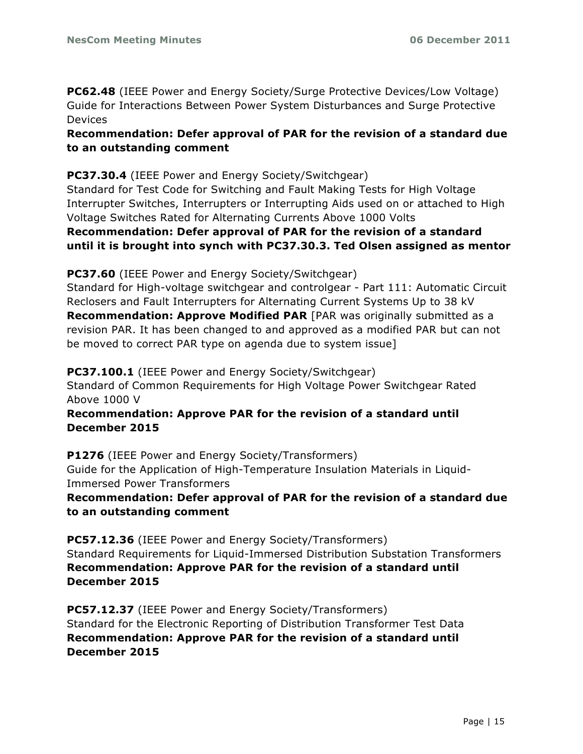**PC62.48** (IEEE Power and Energy Society/Surge Protective Devices/Low Voltage) Guide for Interactions Between Power System Disturbances and Surge Protective Devices

**Recommendation: Defer approval of PAR for the revision of a standard due to an outstanding comment**

### **PC37.30.4** (IEEE Power and Energy Society/Switchgear)

Standard for Test Code for Switching and Fault Making Tests for High Voltage Interrupter Switches, Interrupters or Interrupting Aids used on or attached to High Voltage Switches Rated for Alternating Currents Above 1000 Volts

### **Recommendation: Defer approval of PAR for the revision of a standard until it is brought into synch with PC37.30.3. Ted Olsen assigned as mentor**

**PC37.60** (IEEE Power and Energy Society/Switchgear)

Standard for High-voltage switchgear and controlgear - Part 111: Automatic Circuit Reclosers and Fault Interrupters for Alternating Current Systems Up to 38 kV **Recommendation: Approve Modified PAR** [PAR was originally submitted as a revision PAR. It has been changed to and approved as a modified PAR but can not be moved to correct PAR type on agenda due to system issue]

#### **PC37.100.1** (IEEE Power and Energy Society/Switchgear)

Standard of Common Requirements for High Voltage Power Switchgear Rated Above 1000 V

### **Recommendation: Approve PAR for the revision of a standard until December 2015**

**P1276** (IEEE Power and Energy Society/Transformers) Guide for the Application of High-Temperature Insulation Materials in Liquid-Immersed Power Transformers

**Recommendation: Defer approval of PAR for the revision of a standard due to an outstanding comment**

**PC57.12.36** (IEEE Power and Energy Society/Transformers) Standard Requirements for Liquid-Immersed Distribution Substation Transformers **Recommendation: Approve PAR for the revision of a standard until December 2015**

**PC57.12.37** (IEEE Power and Energy Society/Transformers) Standard for the Electronic Reporting of Distribution Transformer Test Data **Recommendation: Approve PAR for the revision of a standard until December 2015**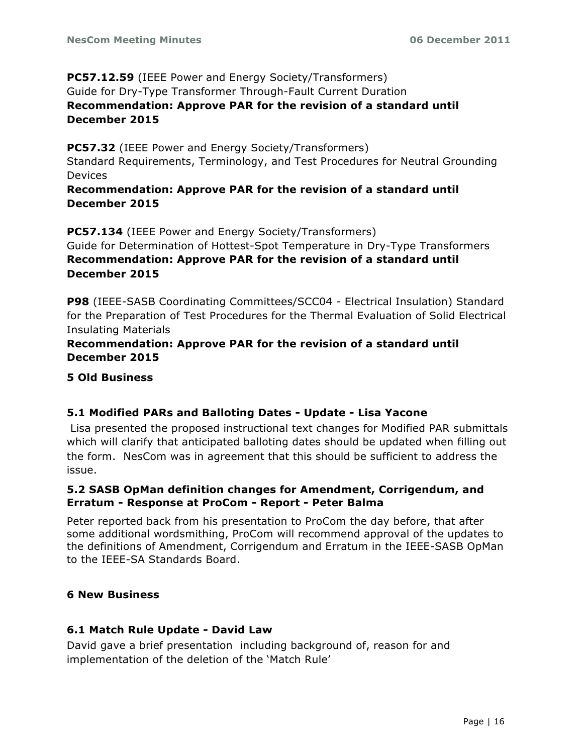### **PC57.12.59** (IEEE Power and Energy Society/Transformers) Guide for Dry-Type Transformer Through-Fault Current Duration **Recommendation: Approve PAR for the revision of a standard until December 2015**

#### **PC57.32** (IEEE Power and Energy Society/Transformers)

Standard Requirements, Terminology, and Test Procedures for Neutral Grounding Devices

#### **Recommendation: Approve PAR for the revision of a standard until December 2015**

**PC57.134** (IEEE Power and Energy Society/Transformers)

Guide for Determination of Hottest-Spot Temperature in Dry-Type Transformers **Recommendation: Approve PAR for the revision of a standard until December 2015**

**P98** (IEEE-SASB Coordinating Committees/SCC04 - Electrical Insulation) Standard for the Preparation of Test Procedures for the Thermal Evaluation of Solid Electrical Insulating Materials

#### **Recommendation: Approve PAR for the revision of a standard until December 2015**

#### **5 Old Business**

### **5.1 Modified PARs and Balloting Dates - Update - Lisa Yacone**

Lisa presented the proposed instructional text changes for Modified PAR submittals which will clarify that anticipated balloting dates should be updated when filling out the form. NesCom was in agreement that this should be sufficient to address the issue.

#### **5.2 SASB OpMan definition changes for Amendment, Corrigendum, and Erratum - Response at ProCom - Report - Peter Balma**

Peter reported back from his presentation to ProCom the day before, that after some additional wordsmithing, ProCom will recommend approval of the updates to the definitions of Amendment, Corrigendum and Erratum in the IEEE-SASB OpMan to the IEEE-SA Standards Board.

### **6 New Business**

### **6.1 Match Rule Update - David Law**

David gave a brief presentation including background of, reason for and implementation of the deletion of the 'Match Rule'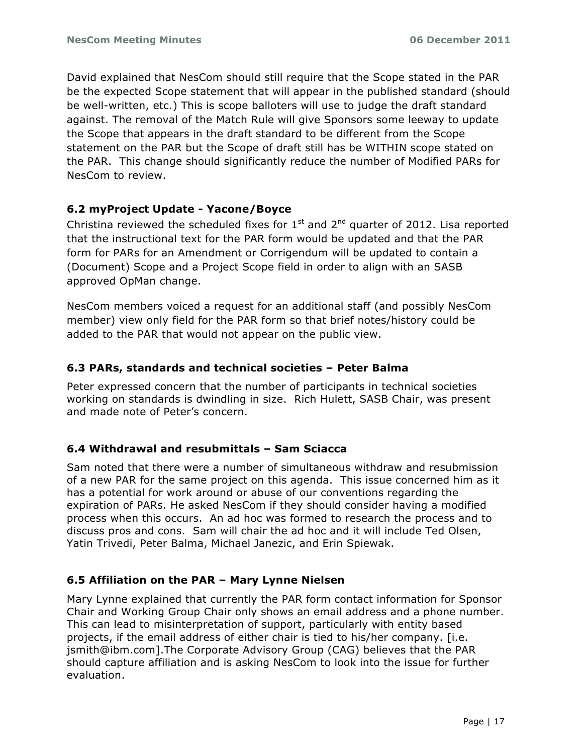David explained that NesCom should still require that the Scope stated in the PAR be the expected Scope statement that will appear in the published standard (should be well-written, etc.) This is scope balloters will use to judge the draft standard against. The removal of the Match Rule will give Sponsors some leeway to update the Scope that appears in the draft standard to be different from the Scope statement on the PAR but the Scope of draft still has be WITHIN scope stated on the PAR. This change should significantly reduce the number of Modified PARs for NesCom to review.

### **6.2 myProject Update - Yacone/Boyce**

Christina reviewed the scheduled fixes for  $1<sup>st</sup>$  and  $2<sup>nd</sup>$  quarter of 2012. Lisa reported that the instructional text for the PAR form would be updated and that the PAR form for PARs for an Amendment or Corrigendum will be updated to contain a (Document) Scope and a Project Scope field in order to align with an SASB approved OpMan change.

NesCom members voiced a request for an additional staff (and possibly NesCom member) view only field for the PAR form so that brief notes/history could be added to the PAR that would not appear on the public view.

### **6.3 PARs, standards and technical societies – Peter Balma**

Peter expressed concern that the number of participants in technical societies working on standards is dwindling in size. Rich Hulett, SASB Chair, was present and made note of Peter's concern.

### **6.4 Withdrawal and resubmittals – Sam Sciacca**

Sam noted that there were a number of simultaneous withdraw and resubmission of a new PAR for the same project on this agenda. This issue concerned him as it has a potential for work around or abuse of our conventions regarding the expiration of PARs. He asked NesCom if they should consider having a modified process when this occurs. An ad hoc was formed to research the process and to discuss pros and cons. Sam will chair the ad hoc and it will include Ted Olsen, Yatin Trivedi, Peter Balma, Michael Janezic, and Erin Spiewak.

### **6.5 Affiliation on the PAR – Mary Lynne Nielsen**

Mary Lynne explained that currently the PAR form contact information for Sponsor Chair and Working Group Chair only shows an email address and a phone number. This can lead to misinterpretation of support, particularly with entity based projects, if the email address of either chair is tied to his/her company. [i.e. jsmith@ibm.com].The Corporate Advisory Group (CAG) believes that the PAR should capture affiliation and is asking NesCom to look into the issue for further evaluation.